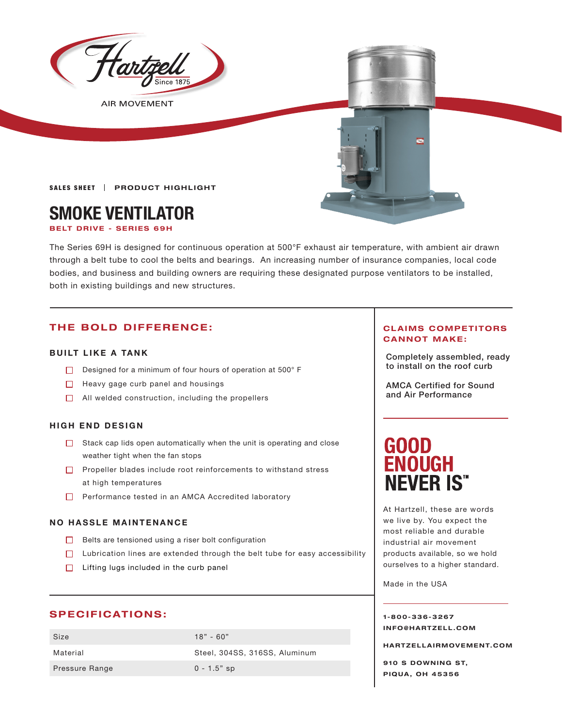

**AIR MOVEMENT** 

**SALES SHEET | PRODUCT HIGHLIGHT** 

# **SMOKE VENTILATOR**

**BELT DRIVE - SERIES 69H** 

The Series 69H is designed for continuous operation at 500°F exhaust air temperature, with ambient air drawn through a belt tube to cool the belts and bearings. An increasing number of insurance companies, local code bodies, and business and building owners are requiring these designated purpose ventilators to be installed, both in existing buildings and new structures.

### **THE BOLD DIFFERENCE:**

#### **BUILT LIKE A TANK**

- Designed for a minimum of four hours of operation at 500 $^{\circ}$  F
- $\Box$  Heavy gage curb panel and housings
- $\Box$  All welded construction, including the propellers

#### **HIGH END DESIGN**

- $\Box$  Stack cap lids open automatically when the unit is operating and close weather tight when the fan stops
- Propeller blades include root reinforcements to withstand stress at high temperatures
- **Performance tested in an AMCA Accredited laboratory**

#### **NO HASSLE MAINTENANCE**

- $\Box$  Belts are tensioned using a riser bolt configuration
- $\Box$  Lubrication lines are extended through the belt tube for easy accessibility
- $\Box$  Lifting lugs included in the curb panel

#### **SPECIFICATIONS:**

| Size           | $18" - 60"$                   |
|----------------|-------------------------------|
| Material       | Steel, 304SS, 316SS, Aluminum |
| Pressure Range | $0 - 1.5"$ sp                 |

#### **CLAIMS COMPETITORS CANNOT MAKE:**

Completely assembled, ready<br>to install on the roof curb

AMCA Certified for Sound and Air Performance

# **GOOD<br>ENOUGH NEVER IS"**

At Hartzell, these are words we live by. You expect the most reliable and durable industrial air movement products available, so we hold ourselves to a higher standard.

Made in the USA

**1-800-336-3267 I N F O @ H A R T Z E L L . C OM** 

**HARTZELLA IRMOVEMENT.COM**

**910 S DOWNING ST, PIQUA, OH 45356**